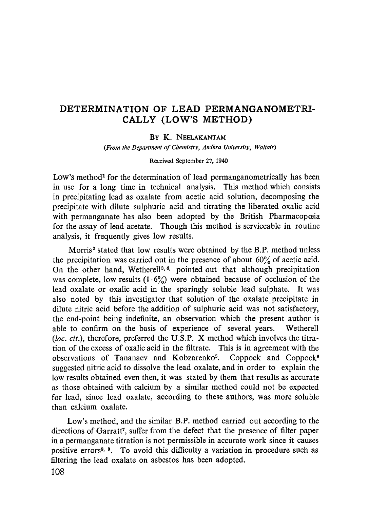# DETERMINATION OF LEAD PERMANGANOMETRI-CALLY (LOW'S METHOD)

#### BY K. NEELAKANTAM

*(From the Department of Chemistry, Andhra University, Waltair)*

#### Received September 27, 1940

Low's method<sup>1</sup> for the determination of lead permanganometrically has been in use for a long time in technical analysis. This method which consists in precipitating lead as oxalate from acetic acid solution, decomposing the precipitate with dilute sulphuric acid and titrating the liberated oxalic acid with permanganate has also been adopted by the British Pharmacopoeia for the assay of lead acetate. Though this method is serviceable in routine analysis, it frequently gives low results.

Morris<sup>2</sup> stated that low results were obtained by the B.P. method unless the precipitation was carried out in the presence of about 60% of acetic acid. On the other hand, Wetherell<sup>3, 4</sup>. pointed out that although precipitation was complete, low results  $(1.6\%)$  were obtained because of occlusion of the lead oxalate or oxalic acid in the sparingly soluble lead sulphate. It was also noted by this investigator that solution of the oxalate precipitate in dilute nitric acid before the addition of sulphuric acid was not satisfactory, the end-point being indefinite, an observation which the present author is able to confirm on the basis of experience of several years. Wetherell *(loc. cit.),* therefore, preferred the U.S.P. X method which involves the titration of the excess of oxalic acid in the filtrate. This is in agreement with the observations of Tananaev and Kobzarenko<sup>5</sup>. Coppock and Coppock<sup>6</sup> suggested nitric acid to dissolve the lead oxalate, and in order to explain the low results obtained even then, it was stated by them that results as accurate as those obtained with calcium by a similar method could not be expected for lead, since lead oxalate, according to these authors, was more soluble than calcium oxalate.

Low's method, and the similar B.P. method carried out according to the directions of Garratt<sup>7</sup> , suffer from the defect that the presence of filter paper in a permanganate titration is not permissible in accurate work since it causes positive errors<sup>8, 9</sup>. To avoid this difficulty a variation in procedure such as filtering the lead oxalate on asbestos has been adopted.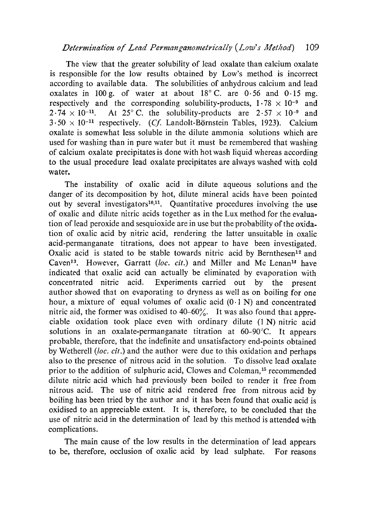## *Determination of Lead Permanganometrically (Low's Method)* 109

The view that the greater solubility of lead oxalate than calcium oxalate is responsible for the low results obtained by Low's method is incorrect according to available data. The solubilities of anhydrous calcium and lead oxalates in 100 g. of water at about  $18^{\circ}$  C. are 0.56 and 0.15 mg. respectively and the corresponding solubility-products,  $1.78 \times 10^{-9}$  and  $2.74 \times 10^{-11}$ . At 25° C. the solubility-products are  $2.57 \times 10^{-9}$  and  $3.50 \times 10^{-11}$  respectively. *(Cf. Landolt-Börnstein Tables, 1923).* Calcium oxalate is somewhat less soluble in the dilute ammonia solutions which are used for washing than in pure water but it must be remembered that washing of calcium oxalate precipitates is done with hot wash liquid whereas according to the usual procedure lead oxalate precipitates are always washed with cold water.

The instability of oxalic acid in dilute aqueous solutions and the danger of its decomposition by hot, dilute mineral acids have been pointed out by several investigators<sup>10,11</sup>. Quantitative procedures involving the use of oxalic and dilute nitric acids together as in the Lux method for the evaluation of lead peroxide and sesquioxide are in use but the probability of the oxidation of oxalic acid by nitric acid, rendering the latter unsuitable in oxalic acid-permanganate titrations, does not appear to have been investigated. Oxalic acid is stated to be stable towards nitric acid by Bernthesen<sup>12</sup> and Caven<sup>13</sup>. However, Garratt *(loc. cit.)* and Miller and Mc Lenan<sup>14</sup> have indicated that oxalic acid can actually be eliminated by evaporation with concentrated nitric acid. Experiments carried out by the present author showed that on evaporating to dryness as well as on boiling for one hour, a mixture of equal volumes of oxalic acid  $(0.1 N)$  and concentrated nitric aid, the former was oxidised to 40-60%. It was also found that appreciable oxidation took place even with ordinary dilute  $(1 N)$  nitric acid solutions in an oxalate-permanganate titration at 60-90°C. It appears probable, therefore, that the indefinite and unsatisfactory end-points obtained by Wetherell *(loc. cit.)* and the author were due to this oxidation and perhaps also to the presence of nitrous acid in the solution. To dissolve lead oxalate prior to the addition of sulphuric acid, Clowes and Coleman, <sup>15</sup> recommended dilute nitric acid which had previously been boiled to render it free from nitrous acid. The use of nitric acid rendered free from nitrous acid by boiling has been tried by the author and it has been found that oxalic acid is oxidised to an appreciable extent. It is, therefore, to be concluded that the use of nitric acid in the determination of lead by this method is attended with complications.

The main cause of the low results in the determination of lead appears to be, therefore, occlusion of oxalic acid by lead sulphate. For reasons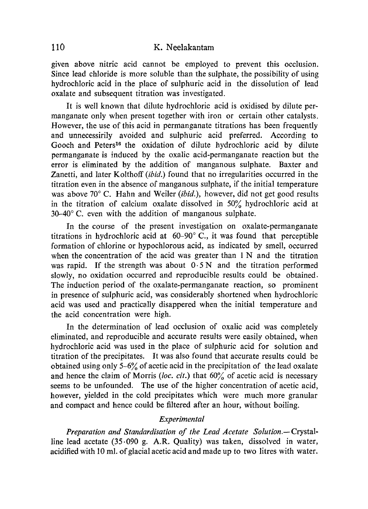### 110 K. Neelakantam

given above nitric acid cannot be employed to prevent this occlusion. Since lead chloride is more soluble than the sulphate, the possibility of using hydrochloric acid in the place of sulphuric acid in the dissolution of lead oxalate and subsequent titration was investigated.

It is well known that dilute hydrochloric acid is oxidised by dilute permanganate only when present together with iron or certain other catalysts. However, the use of this acid in permanganate titrations has been frequently and unnecessirily avoided and sulphuric acid preferred. According to Gooch and Peters<sup>16</sup> the oxidation of dilute hydrochloric acid by dilute permanganate is induced by the oxalic acid-permanganate reaction but the error is eliminated by the addition of manganous sulphate. Baxter and Zanetti, and later Kolthoff *(ibid.)* found that no irregularities occurred in the titration even in the absence of manganous sulphate, if the initial temperature was above 70° C. Hahn and Weiler *(ibid.),* however, did not get good results in the titration of calcium oxalate dissolved in 50% hydrochloric acid at 30-40° C. even with the addition of manganous sulphate.

In the course of the present investigation on oxalate-permanganate titrations in hydrochloric acid at 60-90° C., it was found that perceptible formation of chlorine or hypochlorous acid, as indicated by smell, occurred when the concentration of the acid was greater than  $1 N$  and the titration was rapid. If the strength was about  $0.5 N$  and the titration performed slowly, no oxidation occurred and reproducible results could be obtained. The induction period of the oxalate-permanganate reaction, so prominent in presence of sulphuric acid, was considerably shortened when hydrochloric acid was used and practically disappered when the initial temperature and the acid concentration were high.

In the determination of lead occlusion of oxalic acid was completely eliminated, and reproducible and accurate results were easily obtained, when hydrochloric acid was used in the place of sulphuric acid for solution and titration of the precipitates. It was also found that accurate results could be obtained using only 5-6% of acetic acid in the precipitation of the lead oxalate and hence the claim of Morris *(loc. cit.)* that 60% of acetic acid is necessary seems to be unfounded. The use of the higher concentration of acetic acid, however, yielded in the cold precipitates which were much more granular and compact and hence could be filtered after an hour, without boiling.

### *Experimental*

*Preparation and Standardisation of the Lead Acetate Solution.—* Crystalline lead acetate (35.090 g. A.R. Quality) was taken, dissolved in water, acidified with 10 ml. of glacial acetic acid and made up to two litres with water.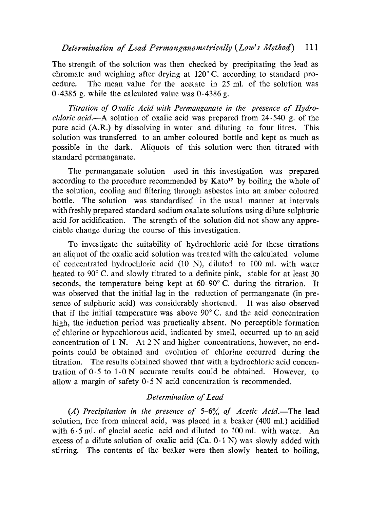The strength of the solution was then checked by precipitating the lead as chromate and weighing after drying at 120° C. according to standard procedure. The mean value for the acetate in 25 ml. of the solution was 0.4385 g. while the calculated value was  $0.4386$  g.

*Titration of Oxalic Acid with Permanganate in the presence of Hydrochloric acid.—A* solution of oxalic acid was prepared from 24.540 g. of the pure acid (A.R.) by dissolving in water and diluting to four litres. This solution was transferred to an amber coloured bottle and kept as much as possible in the dark. Aliquots of this solution were then titrated with standard permanganate.

The permanganate solution used in this investigation was prepared according to the procedure recommended by  $Kato^{17}$  by boiling the whole of the solution, cooling and filtering through asbestos into an amber coloured bottle. The solution was standardised in the usual manner at intervals with freshly prepared standard sodium oxalate solutions using dilute sulphuric acid for acidification. The strength of the solution did not show any appreciable change during the course of this investigation.

To investigate the suitability of hydrochloric acid for these titrations an aliquot of the oxalic acid solution was treated with the calculated volume of concentrated hydrochloric acid (10 N), diluted to 100 ml. with water heated to 90° C. and slowly titrated to a definite pink, stable for at least 30 seconds, the temperature being kept at  $60-90^{\circ}$  C. during the titration. It was observed that the initial lag in the reduction of permanganate (in presence of sulphuric acid) was considerably shortened. It was also observed that if the initial temperature was above  $90^{\circ}$  C. and the acid concentration high, the induction period was practically absent. No perceptible formation of chlorine or hypochiorous acid, indicated by smell, occurred up to an acid concentration of 1 N. At 2 N and higher concentrations, however, no endpoints could be obtained and evolution of chlorine occurred during the titration. The results obtained showed that with a hydrochloric acid concentration of  $0.5$  to  $1.0$  N accurate results could be obtained. However, to allow a margin of safety 0.5 N acid concentration is recommended.

### *Determination of Lead*

*(A) Precipitation in the presence of* 5-6% *of Acetic Acid.—The* lead solution, free from mineral acid, was placed in a beaker (400 ml.) acidified with 6.5 ml. of glacial acetic acid and diluted to 100 ml. with water. An excess of a dilute solution of oxalic acid (Ca.  $0.1$  N) was slowly added with stirring. The contents of the beaker were then slowly heated to boiling,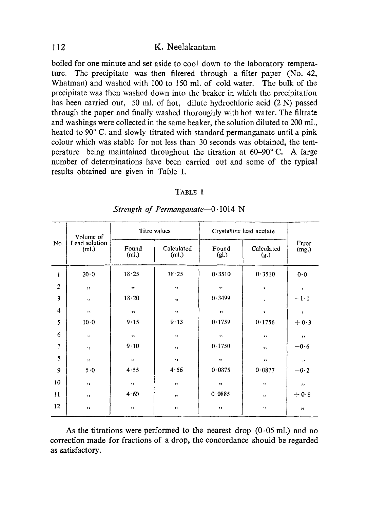#### 112 K. Neelakantam

boiled for one minute and set aside to cool down to the laboratory temperature. The precipitate was then filtered through a filter paper (No. 42, Whatman) and washed with 100 to 150 ml. of cold water. The bulk of the precipitate was then washed down into the beaker in which the precipitation has been carried out, 50 ml. of hot, dilute hydrochloric acid (2 N) passed through the paper and finally washed thoroughly with hot water. The filtrate and washings were collected in the same beaker, the solution diluted to 200 ml., heated to 90° C. and slowly titrated with standard permanganate until a pink colour which was stable for not less than 30 seconds was obtained, the temperature being maintained throughout the titration at 60-90° C. A large number of determinations have been carried out and some of the typical results obtained are given in Table I.

### TABLE I

| No.                     | Volume of<br>Lead solution<br>(ml.) | Titre values   |                     | Crystalline lead acetate |                    |                |
|-------------------------|-------------------------------------|----------------|---------------------|--------------------------|--------------------|----------------|
|                         |                                     | Found<br>(ml.) | Calculated<br>(ml.) | Found<br>(gl.)           | Calculated<br>(g.) | Error<br>(mg.) |
| 1                       | 20.0                                | 18.25          | 18.25               | 0.3510                   | 0.3510             | 0.0            |
| $\overline{\mathbf{c}}$ | , ,                                 | $\bullet$      | ,,                  | , ,                      | ,                  | $\pmb{\cdot}$  |
| 3                       | ,,                                  | 18.20          | ,,                  | 0.3499                   | $\pmb{\cdot}$      | $-1-1$         |
| 4                       | , ,                                 | $, \,$         | $, \,$              | 12                       | $\,$               | $\bullet$      |
| 5                       | 10.0                                | 9.15           | 9.13                | 0.1759                   | 0.1756             | $+0.3$         |
| 6                       | $, \,$                              | ,,             | ,,                  | $, \,$                   | ,,                 | ,,             |
| $\overline{7}$          | , ,                                 | 9.10           | $, \,$              | 0.1750                   | $, \,$             | $-0.6$         |
| 8                       | $, \,$                              | $\, \,$        | $\bullet\bullet$    | $, \,$                   | $, \,$             | $, \cdot$      |
| 9                       | 5.0                                 | 4.55           | 4.56                | 0.0875                   | 0.0877             | $-0.2$         |
| 10                      | $\bullet\bullet$                    | $, \,$         | ,,                  | , ,                      | .,                 | $\pm$          |
| 11                      | , ,                                 | 4.60           | , ,                 | 0.0885                   | , ,                | $+0.8$         |
| 12                      | $\, \,$                             | , ,            | , ,                 | ,,                       | ,,                 | $, \,$         |

*Strength of Permanganate-0.1014 N*

As the titrations were performed to the nearest drop  $(0.05 \text{ ml})$  and no correction made for fractions of a drop, the concordance should be regarded as satisfactory.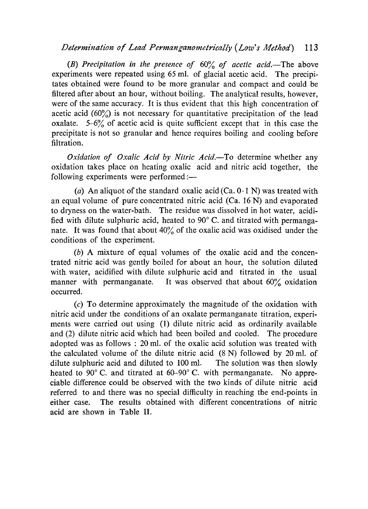# *Determination of Lead Permanganometrically (Low's Method) 113*

*(B) Precipitation in the presence of* 60% *of acetic acid.—The* above experiments were repeated using 65 ml. of glacial acetic acid. The precipitates obtained were found to be more granular and compact and could be filtered after about an hour, without boiling. The analytical results, however, were of the same accuracy. It is thus evident that this high concentration of acetic acid  $(60\%)$  is not necessary for quantitative precipitation of the lead oxalate. 5-6% of acetic acid is quite sufficient except that in this case the precipitate is not so granular and hence requires boiling and cooling before filtration.

*Oxidation of Oxalic Acid by Nitric Acid.—To* determine whether any oxidation takes place on heating oxalic acid and nitric acid together, the following experiments were performed :-

(a) An aliquot of the standard oxalic acid (Ca.  $0.1$  N) was treated with an equal volume of pure concentrated nitric acid (Ca. 16 N) and evaporated to dryness on the water-bath. The residue was dissolved in hot water, acidified with dilute sulphuric acid, heated to 90° C. and titrated with permanganate. It was found that about  $40\%$  of the oxalic acid was oxidised under the conditions of the experiment.

(b) A mixture of equal volumes of the oxalic acid and the concentrated nitric acid was gently boiled for about an hour, the solution diluted with water, acidified with dilute sulphuric acid and titrated in the usual manner with permanganate. It was observed that about 60% oxidation occurred.

(c) To determine approximately the magnitude of the oxidation with nitric acid under the conditions of an oxalate permanganate titration, experiments were carried out using (1) dilute nitric acid as ordinarily available and (2) dilute nitric acid which had been boiled and cooled. The procedure adopted was as follows : 20 ml. of the oxalic acid solution was treated with the calculated volume of the dilute nitric acid (8 N) followed by 20 ml. of dilute sulphuric acid and diluted to 100 ml. The solution was then slowly heated to 90° C. and titrated at 60–90° C. with permanganate. No appreciable difference could be observed with the two kinds of dilute nitric acid referred to and there was no special difficulty in reaching the end-points in either case. The results obtained with different concentrations of nitric acid are shown in Table II.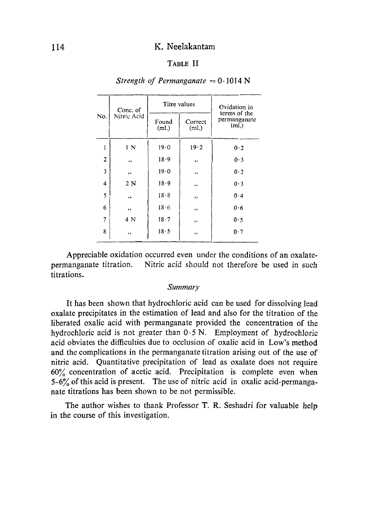#### 114 K. Neelakantam

### TABLE II

|     | Conc. of    | Titre values   |                              | Oxidation in                                      |
|-----|-------------|----------------|------------------------------|---------------------------------------------------|
| No. | Nitric Acid | Found<br>(ml.) | Correct<br>(m <sub>l</sub> ) | terms of the<br>permanganate<br>(m <sub>l</sub> ) |
| I   | 1 N         | 19.0           | 19.2                         | 0.2                                               |
| 2   | , ,         | 18.9           | ,,                           | 0.3                                               |
| 3   | ,           | 19.0           | $, \,$                       | 0.2                                               |
| 4   | 2 N         | 18.9           | ,,                           | 0.3                                               |
| 5   | $, \,$      | 18.8           | ,,                           | 0.4                                               |
| 6   | ,,          | 18.6           | ,,                           | 0.6                                               |
|     | 4 N         | 18.7           | , ,                          | 0.5                                               |
| 8   | ,           | 18.5           | ,,                           | 0.7                                               |
|     |             |                |                              |                                                   |

#### *Strength of Permanganate = 0.1014 N*

Appreciable oxidation occurred even under the conditions of an oxalatepermanganate titration. Nitric acid should not therefore be used in such titrations.

#### *Summary*

It has been shown that hydrochloric acid can be used for dissolving lead oxalate precipitates in the estimation of lead and also for the titration of the liberated oxalic acid with permanganate provided the concentration of the hydrochloric acid is not greater than 0.5 N. Employment of hydrochloric acid obviates the difficulties due to occlusion of oxalic acid in Low's method and the complications in the permanganate titration arising out of the use of nitric acid. Quantitative precipitation of lead as oxalate does not require 60°; concentration of acetic acid. Precipitation is complete even when  $5-6\%$  of this acid is present. The use of nitric acid in oxalic acid-permanganate titrations has been shown to be not permissible.

The author wishes to thank Professor T. R. Seshadri for valuable help in the course of this investigation.